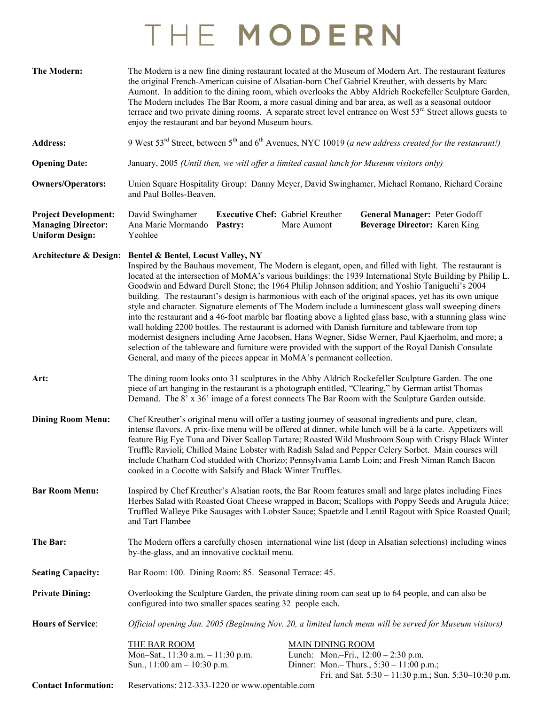## THE MODERN

| <b>The Modern:</b>                                                                 | The Modern is a new fine dining restaurant located at the Museum of Modern Art. The restaurant features<br>the original French-American cuisine of Alsatian-born Chef Gabriel Kreuther, with desserts by Marc<br>Aumont. In addition to the dining room, which overlooks the Abby Aldrich Rockefeller Sculpture Garden,<br>The Modern includes The Bar Room, a more casual dining and bar area, as well as a seasonal outdoor<br>terrace and two private dining rooms. A separate street level entrance on West $53rd$ Street allows guests to<br>enjoy the restaurant and bar beyond Museum hours.                                                                                                                                                                                                                                                                                                                                                                                                                                                                                                            |                                                    |             |                                                                |                                                                |                                                           |
|------------------------------------------------------------------------------------|----------------------------------------------------------------------------------------------------------------------------------------------------------------------------------------------------------------------------------------------------------------------------------------------------------------------------------------------------------------------------------------------------------------------------------------------------------------------------------------------------------------------------------------------------------------------------------------------------------------------------------------------------------------------------------------------------------------------------------------------------------------------------------------------------------------------------------------------------------------------------------------------------------------------------------------------------------------------------------------------------------------------------------------------------------------------------------------------------------------|----------------------------------------------------|-------------|----------------------------------------------------------------|----------------------------------------------------------------|-----------------------------------------------------------|
| <b>Address:</b>                                                                    | 9 West 53 <sup>rd</sup> Street, between 5 <sup>th</sup> and 6 <sup>th</sup> Avenues, NYC 10019 (a new address created for the restaurant!)                                                                                                                                                                                                                                                                                                                                                                                                                                                                                                                                                                                                                                                                                                                                                                                                                                                                                                                                                                     |                                                    |             |                                                                |                                                                |                                                           |
| <b>Opening Date:</b>                                                               | January, 2005 (Until then, we will offer a limited casual lunch for Museum visitors only)                                                                                                                                                                                                                                                                                                                                                                                                                                                                                                                                                                                                                                                                                                                                                                                                                                                                                                                                                                                                                      |                                                    |             |                                                                |                                                                |                                                           |
| <b>Owners/Operators:</b>                                                           | Union Square Hospitality Group: Danny Meyer, David Swinghamer, Michael Romano, Richard Coraine<br>and Paul Bolles-Beaven.                                                                                                                                                                                                                                                                                                                                                                                                                                                                                                                                                                                                                                                                                                                                                                                                                                                                                                                                                                                      |                                                    |             |                                                                |                                                                |                                                           |
| <b>Project Development:</b><br><b>Managing Director:</b><br><b>Uniform Design:</b> | David Swinghamer<br>Ana Marie Mormando<br>Yeohlee                                                                                                                                                                                                                                                                                                                                                                                                                                                                                                                                                                                                                                                                                                                                                                                                                                                                                                                                                                                                                                                              | <b>Executive Chef: Gabriel Kreuther</b><br>Pastry: | Marc Aumont |                                                                | General Manager: Peter Godoff<br>Beverage Director: Karen King |                                                           |
| <b>Architecture &amp; Design:</b>                                                  | <b>Bentel &amp; Bentel, Locust Valley, NY</b><br>Inspired by the Bauhaus movement, The Modern is elegant, open, and filled with light. The restaurant is<br>located at the intersection of MoMA's various buildings: the 1939 International Style Building by Philip L.<br>Goodwin and Edward Durell Stone; the 1964 Philip Johnson addition; and Yoshio Taniguchi's 2004<br>building. The restaurant's design is harmonious with each of the original spaces, yet has its own unique<br>style and character. Signature elements of The Modern include a luminescent glass wall sweeping diners<br>into the restaurant and a 46-foot marble bar floating above a lighted glass base, with a stunning glass wine<br>wall holding 2200 bottles. The restaurant is adorned with Danish furniture and tableware from top<br>modernist designers including Arne Jacobsen, Hans Wegner, Sidse Werner, Paul Kjaerholm, and more; a<br>selection of the tableware and furniture were provided with the support of the Royal Danish Consulate<br>General, and many of the pieces appear in MoMA's permanent collection. |                                                    |             |                                                                |                                                                |                                                           |
| Art:                                                                               | The dining room looks onto 31 sculptures in the Abby Aldrich Rockefeller Sculpture Garden. The one<br>piece of art hanging in the restaurant is a photograph entitled, "Clearing," by German artist Thomas<br>Demand. The 8' x 36' image of a forest connects The Bar Room with the Sculpture Garden outside.                                                                                                                                                                                                                                                                                                                                                                                                                                                                                                                                                                                                                                                                                                                                                                                                  |                                                    |             |                                                                |                                                                |                                                           |
| <b>Dining Room Menu:</b>                                                           | Chef Kreuther's original menu will offer a tasting journey of seasonal ingredients and pure, clean,<br>intense flavors. A prix-fixe menu will be offered at dinner, while lunch will be à la carte. Appetizers will<br>feature Big Eye Tuna and Diver Scallop Tartare; Roasted Wild Mushroom Soup with Crispy Black Winter<br>Truffle Ravioli; Chilled Maine Lobster with Radish Salad and Pepper Celery Sorbet. Main courses will<br>include Chatham Cod studded with Chorizo; Pennsylvania Lamb Loin; and Fresh Niman Ranch Bacon<br>cooked in a Cocotte with Salsify and Black Winter Truffles.                                                                                                                                                                                                                                                                                                                                                                                                                                                                                                             |                                                    |             |                                                                |                                                                |                                                           |
| <b>Bar Room Menu:</b>                                                              | Inspired by Chef Kreuther's Alsatian roots, the Bar Room features small and large plates including Fines<br>Herbes Salad with Roasted Goat Cheese wrapped in Bacon; Scallops with Poppy Seeds and Arugula Juice;<br>Truffled Walleye Pike Sausages with Lobster Sauce; Spaetzle and Lentil Ragout with Spice Roasted Quail;<br>and Tart Flambee                                                                                                                                                                                                                                                                                                                                                                                                                                                                                                                                                                                                                                                                                                                                                                |                                                    |             |                                                                |                                                                |                                                           |
| The Bar:                                                                           | The Modern offers a carefully chosen international wine list (deep in Alsatian selections) including wines<br>by-the-glass, and an innovative cocktail menu.                                                                                                                                                                                                                                                                                                                                                                                                                                                                                                                                                                                                                                                                                                                                                                                                                                                                                                                                                   |                                                    |             |                                                                |                                                                |                                                           |
| <b>Seating Capacity:</b>                                                           | Bar Room: 100. Dining Room: 85. Seasonal Terrace: 45.                                                                                                                                                                                                                                                                                                                                                                                                                                                                                                                                                                                                                                                                                                                                                                                                                                                                                                                                                                                                                                                          |                                                    |             |                                                                |                                                                |                                                           |
| <b>Private Dining:</b>                                                             | Overlooking the Sculpture Garden, the private dining room can seat up to 64 people, and can also be<br>configured into two smaller spaces seating 32 people each.                                                                                                                                                                                                                                                                                                                                                                                                                                                                                                                                                                                                                                                                                                                                                                                                                                                                                                                                              |                                                    |             |                                                                |                                                                |                                                           |
| <b>Hours of Service:</b>                                                           | Official opening Jan. 2005 (Beginning Nov. 20, a limited lunch menu will be served for Museum visitors)                                                                                                                                                                                                                                                                                                                                                                                                                                                                                                                                                                                                                                                                                                                                                                                                                                                                                                                                                                                                        |                                                    |             |                                                                |                                                                |                                                           |
| <b>Contact Information:</b>                                                        | <b>THE BAR ROOM</b><br>Mon-Sat., 11:30 a.m. - 11:30 p.m.<br>Sun., $11:00$ am $- 10:30$ p.m.<br>Reservations: 212-333-1220 or www.opentable.com                                                                                                                                                                                                                                                                                                                                                                                                                                                                                                                                                                                                                                                                                                                                                                                                                                                                                                                                                                 |                                                    |             | <b>MAIN DINING ROOM</b><br>Lunch: Mon.-Fri., 12:00 - 2:30 p.m. | Dinner: Mon.- Thurs., 5:30 - 11:00 p.m.;                       | Fri. and Sat. $5:30 - 11:30$ p.m.; Sun. $5:30-10:30$ p.m. |
|                                                                                    |                                                                                                                                                                                                                                                                                                                                                                                                                                                                                                                                                                                                                                                                                                                                                                                                                                                                                                                                                                                                                                                                                                                |                                                    |             |                                                                |                                                                |                                                           |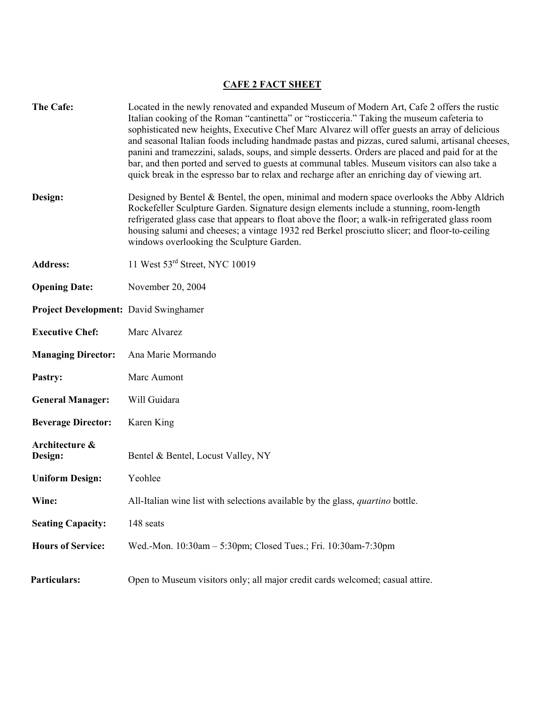## **CAFE 2 FACT SHEET**

| The Cafe:                                    | Located in the newly renovated and expanded Museum of Modern Art, Cafe 2 offers the rustic<br>Italian cooking of the Roman "cantinetta" or "rosticceria." Taking the museum cafeteria to<br>sophisticated new heights, Executive Chef Marc Alvarez will offer guests an array of delicious<br>and seasonal Italian foods including handmade pastas and pizzas, cured salumi, artisanal cheeses,<br>panini and tramezzini, salads, soups, and simple desserts. Orders are placed and paid for at the<br>bar, and then ported and served to guests at communal tables. Museum visitors can also take a<br>quick break in the espresso bar to relax and recharge after an enriching day of viewing art. |  |  |  |
|----------------------------------------------|------------------------------------------------------------------------------------------------------------------------------------------------------------------------------------------------------------------------------------------------------------------------------------------------------------------------------------------------------------------------------------------------------------------------------------------------------------------------------------------------------------------------------------------------------------------------------------------------------------------------------------------------------------------------------------------------------|--|--|--|
| Design:                                      | Designed by Bentel & Bentel, the open, minimal and modern space overlooks the Abby Aldrich<br>Rockefeller Sculpture Garden. Signature design elements include a stunning, room-length<br>refrigerated glass case that appears to float above the floor; a walk-in refrigerated glass room<br>housing salumi and cheeses; a vintage 1932 red Berkel prosciutto slicer; and floor-to-ceiling<br>windows overlooking the Sculpture Garden.                                                                                                                                                                                                                                                              |  |  |  |
| <b>Address:</b>                              | 11 West 53rd Street, NYC 10019                                                                                                                                                                                                                                                                                                                                                                                                                                                                                                                                                                                                                                                                       |  |  |  |
| <b>Opening Date:</b>                         | November 20, 2004                                                                                                                                                                                                                                                                                                                                                                                                                                                                                                                                                                                                                                                                                    |  |  |  |
| <b>Project Development: David Swinghamer</b> |                                                                                                                                                                                                                                                                                                                                                                                                                                                                                                                                                                                                                                                                                                      |  |  |  |
| <b>Executive Chef:</b>                       | Marc Alvarez                                                                                                                                                                                                                                                                                                                                                                                                                                                                                                                                                                                                                                                                                         |  |  |  |
| <b>Managing Director:</b>                    | Ana Marie Mormando                                                                                                                                                                                                                                                                                                                                                                                                                                                                                                                                                                                                                                                                                   |  |  |  |
| Pastry:                                      | Marc Aumont                                                                                                                                                                                                                                                                                                                                                                                                                                                                                                                                                                                                                                                                                          |  |  |  |
| <b>General Manager:</b>                      | Will Guidara                                                                                                                                                                                                                                                                                                                                                                                                                                                                                                                                                                                                                                                                                         |  |  |  |
| <b>Beverage Director:</b>                    | Karen King                                                                                                                                                                                                                                                                                                                                                                                                                                                                                                                                                                                                                                                                                           |  |  |  |
| Architecture &<br>Design:                    | Bentel & Bentel, Locust Valley, NY                                                                                                                                                                                                                                                                                                                                                                                                                                                                                                                                                                                                                                                                   |  |  |  |
| <b>Uniform Design:</b>                       | Yeohlee                                                                                                                                                                                                                                                                                                                                                                                                                                                                                                                                                                                                                                                                                              |  |  |  |
| Wine:                                        | All-Italian wine list with selections available by the glass, <i>quartino</i> bottle.                                                                                                                                                                                                                                                                                                                                                                                                                                                                                                                                                                                                                |  |  |  |
| <b>Seating Capacity:</b>                     | 148 seats                                                                                                                                                                                                                                                                                                                                                                                                                                                                                                                                                                                                                                                                                            |  |  |  |
| <b>Hours of Service:</b>                     | Wed.-Mon. 10:30am - 5:30pm; Closed Tues.; Fri. 10:30am-7:30pm                                                                                                                                                                                                                                                                                                                                                                                                                                                                                                                                                                                                                                        |  |  |  |
| Particulars:                                 | Open to Museum visitors only; all major credit cards welcomed; casual attire.                                                                                                                                                                                                                                                                                                                                                                                                                                                                                                                                                                                                                        |  |  |  |